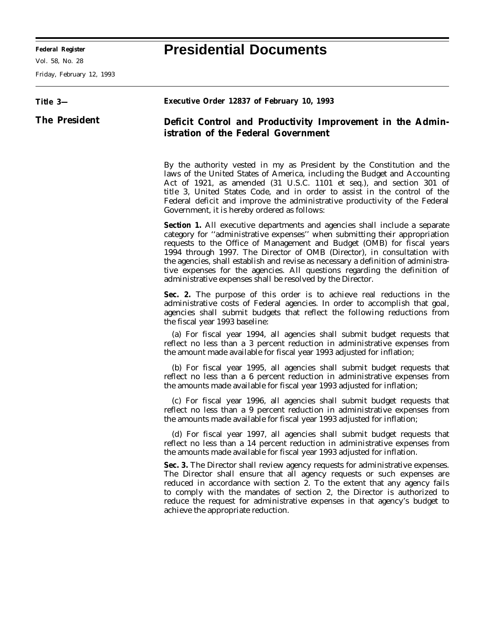Ξ

Vol. 58, No. 28

Friday, February 12, 1993

## **Federal Register Presidential Documents**

۰

| Title 3-             | Executive Order 12837 of February 10, 1993                                                                                                                                                                                                                                                                                                                                                                                                                                                                                                           |
|----------------------|------------------------------------------------------------------------------------------------------------------------------------------------------------------------------------------------------------------------------------------------------------------------------------------------------------------------------------------------------------------------------------------------------------------------------------------------------------------------------------------------------------------------------------------------------|
| <b>The President</b> | Deficit Control and Productivity Improvement in the Admin-<br>istration of the Federal Government                                                                                                                                                                                                                                                                                                                                                                                                                                                    |
|                      | By the authority vested in my as President by the Constitution and the<br>laws of the United States of America, including the Budget and Accounting<br>Act of 1921, as amended (31 U.S.C. 1101 et seq.), and section 301 of<br>title 3, United States Code, and in order to assist in the control of the<br>Federal deficit and improve the administrative productivity of the Federal<br>Government, it is hereby ordered as follows:                                                                                                               |
|                      | <b>Section 1.</b> All executive departments and agencies shall include a separate<br>category for "administrative expenses" when submitting their appropriation<br>requests to the Office of Management and Budget (OMB) for fiscal years<br>1994 through 1997. The Director of OMB (Director), in consultation with<br>the agencies, shall establish and revise as necessary a definition of administra-<br>tive expenses for the agencies. All questions regarding the definition of<br>administrative expenses shall be resolved by the Director. |
|                      | Sec. 2. The purpose of this order is to achieve real reductions in the<br>administrative costs of Federal agencies. In order to accomplish that goal,<br>agencies shall submit budgets that reflect the following reductions from<br>the fiscal year 1993 baseline:                                                                                                                                                                                                                                                                                  |
|                      | (a) For fiscal year 1994, all agencies shall submit budget requests that<br>reflect no less than a 3 percent reduction in administrative expenses from<br>the amount made available for fiscal year 1993 adjusted for inflation;                                                                                                                                                                                                                                                                                                                     |
|                      | (b) For fiscal year 1995, all agencies shall submit budget requests that<br>reflect no less than a 6 percent reduction in administrative expenses from<br>the amounts made available for fiscal year 1993 adjusted for inflation;                                                                                                                                                                                                                                                                                                                    |
|                      | (c) For fiscal year 1996, all agencies shall submit budget requests that<br>reflect no less than a 9 percent reduction in administrative expenses from<br>the amounts made available for fiscal year 1993 adjusted for inflation;                                                                                                                                                                                                                                                                                                                    |
|                      | (d) For fiscal year 1997, all agencies shall submit budget requests that<br>reflect no less than a 14 percent reduction in administrative expenses from<br>the amounts made available for fiscal year 1993 adjusted for inflation.                                                                                                                                                                                                                                                                                                                   |
|                      | Sec. 3. The Director shall review agency requests for administrative expenses.<br>The Director shall ensure that all agency requests or such expenses are<br>reduced in accordance with section 2. To the extent that any agency fails<br>to comply with the mandates of section 2, the Director is authorized to<br>reduce the request for administrative expenses in that agency's budget to<br>achieve the appropriate reduction.                                                                                                                 |
|                      |                                                                                                                                                                                                                                                                                                                                                                                                                                                                                                                                                      |